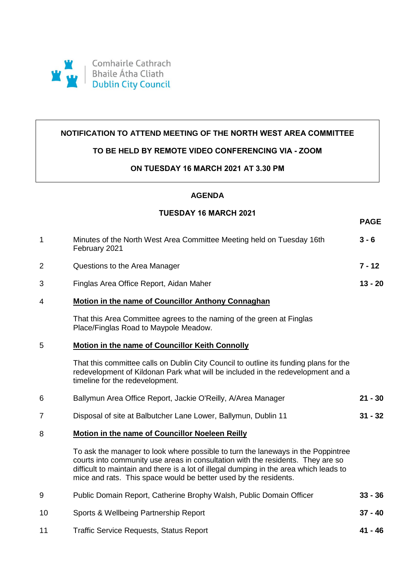

## **NOTIFICATION TO ATTEND MEETING OF THE NORTH WEST AREA COMMITTEE**

#### **TO BE HELD BY REMOTE VIDEO CONFERENCING VIA - ZOOM**

#### **ON TUESDAY 16 MARCH 2021 AT 3.30 PM**

# **AGENDA**

## **TUESDAY 16 MARCH 2021**

**PAGE**

| 1              | Minutes of the North West Area Committee Meeting held on Tuesday 16th<br>February 2021                                                                                                                                                                                                                                            | $3 - 6$   |
|----------------|-----------------------------------------------------------------------------------------------------------------------------------------------------------------------------------------------------------------------------------------------------------------------------------------------------------------------------------|-----------|
| $\overline{2}$ | Questions to the Area Manager                                                                                                                                                                                                                                                                                                     | $7 - 12$  |
| 3              | Finglas Area Office Report, Aidan Maher                                                                                                                                                                                                                                                                                           | $13 - 20$ |
| 4              | Motion in the name of Councillor Anthony Connaghan                                                                                                                                                                                                                                                                                |           |
|                | That this Area Committee agrees to the naming of the green at Finglas<br>Place/Finglas Road to Maypole Meadow.                                                                                                                                                                                                                    |           |
| 5              | Motion in the name of Councillor Keith Connolly                                                                                                                                                                                                                                                                                   |           |
|                | That this committee calls on Dublin City Council to outline its funding plans for the<br>redevelopment of Kildonan Park what will be included in the redevelopment and a<br>timeline for the redevelopment.                                                                                                                       |           |
| 6              | Ballymun Area Office Report, Jackie O'Reilly, A/Area Manager                                                                                                                                                                                                                                                                      | $21 - 30$ |
| 7              | Disposal of site at Balbutcher Lane Lower, Ballymun, Dublin 11                                                                                                                                                                                                                                                                    | $31 - 32$ |
| 8              | <b>Motion in the name of Councillor Noeleen Reilly</b>                                                                                                                                                                                                                                                                            |           |
|                | To ask the manager to look where possible to turn the laneways in the Poppintree<br>courts into community use areas in consultation with the residents. They are so<br>difficult to maintain and there is a lot of illegal dumping in the area which leads to<br>mice and rats. This space would be better used by the residents. |           |
| 9              | Public Domain Report, Catherine Brophy Walsh, Public Domain Officer                                                                                                                                                                                                                                                               | $33 - 36$ |
| 10             | Sports & Wellbeing Partnership Report                                                                                                                                                                                                                                                                                             | $37 - 40$ |
| 11             | <b>Traffic Service Requests, Status Report</b>                                                                                                                                                                                                                                                                                    | 41 - 46   |